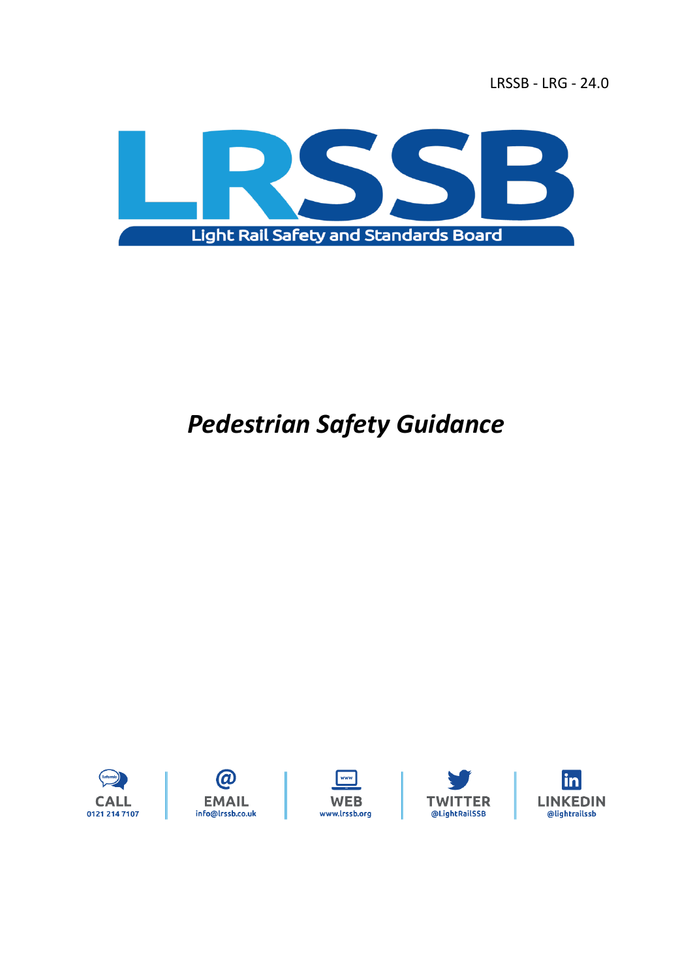LRSSB - LRG - 24.0



# *Pedestrian Safety Guidance*









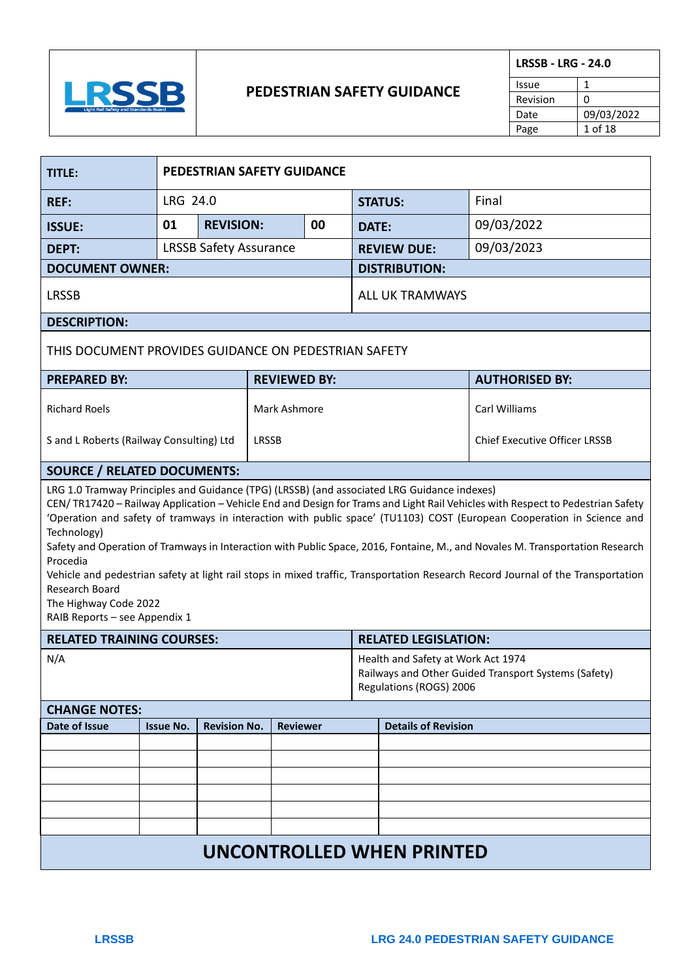

| <b>LRSSB - LRG - 24.0</b> |            |  |
|---------------------------|------------|--|
| Issue                     |            |  |
| Revision                  | O          |  |
| Date                      | 09/03/2022 |  |
| Page                      | 1 of 18    |  |

| PEDESTRIAN SAFETY GUIDANCE<br><b>TITLE:</b>                                                                                                                                                                                                                                                                                                                                                                                                                                                                                                                                                                                                                                                                                         |    |                               |                     |    |                        |                      |                                      |
|-------------------------------------------------------------------------------------------------------------------------------------------------------------------------------------------------------------------------------------------------------------------------------------------------------------------------------------------------------------------------------------------------------------------------------------------------------------------------------------------------------------------------------------------------------------------------------------------------------------------------------------------------------------------------------------------------------------------------------------|----|-------------------------------|---------------------|----|------------------------|----------------------|--------------------------------------|
| <b>REF:</b>                                                                                                                                                                                                                                                                                                                                                                                                                                                                                                                                                                                                                                                                                                                         |    | LRG 24.0                      |                     |    |                        | <b>STATUS:</b>       | Final                                |
| <b>ISSUE:</b>                                                                                                                                                                                                                                                                                                                                                                                                                                                                                                                                                                                                                                                                                                                       | 01 | <b>REVISION:</b>              |                     | 00 | <b>DATE:</b>           |                      | 09/03/2022                           |
| <b>DEPT:</b>                                                                                                                                                                                                                                                                                                                                                                                                                                                                                                                                                                                                                                                                                                                        |    | <b>LRSSB Safety Assurance</b> |                     |    |                        | <b>REVIEW DUE:</b>   | 09/03/2023                           |
| <b>DOCUMENT OWNER:</b>                                                                                                                                                                                                                                                                                                                                                                                                                                                                                                                                                                                                                                                                                                              |    |                               |                     |    |                        | <b>DISTRIBUTION:</b> |                                      |
| <b>LRSSB</b>                                                                                                                                                                                                                                                                                                                                                                                                                                                                                                                                                                                                                                                                                                                        |    |                               |                     |    | <b>ALL UK TRAMWAYS</b> |                      |                                      |
| <b>DESCRIPTION:</b>                                                                                                                                                                                                                                                                                                                                                                                                                                                                                                                                                                                                                                                                                                                 |    |                               |                     |    |                        |                      |                                      |
| THIS DOCUMENT PROVIDES GUIDANCE ON PEDESTRIAN SAFETY                                                                                                                                                                                                                                                                                                                                                                                                                                                                                                                                                                                                                                                                                |    |                               |                     |    |                        |                      |                                      |
| <b>PREPARED BY:</b>                                                                                                                                                                                                                                                                                                                                                                                                                                                                                                                                                                                                                                                                                                                 |    |                               | <b>REVIEWED BY:</b> |    |                        |                      | <b>AUTHORISED BY:</b>                |
| <b>Richard Roels</b>                                                                                                                                                                                                                                                                                                                                                                                                                                                                                                                                                                                                                                                                                                                |    |                               | Mark Ashmore        |    |                        |                      | Carl Williams                        |
| S and L Roberts (Railway Consulting) Ltd                                                                                                                                                                                                                                                                                                                                                                                                                                                                                                                                                                                                                                                                                            |    |                               | LRSSB               |    |                        |                      | <b>Chief Executive Officer LRSSB</b> |
| <b>SOURCE / RELATED DOCUMENTS:</b>                                                                                                                                                                                                                                                                                                                                                                                                                                                                                                                                                                                                                                                                                                  |    |                               |                     |    |                        |                      |                                      |
| LRG 1.0 Tramway Principles and Guidance (TPG) (LRSSB) (and associated LRG Guidance indexes)<br>CEN/TR17420 - Railway Application - Vehicle End and Design for Trams and Light Rail Vehicles with Respect to Pedestrian Safety<br>'Operation and safety of tramways in interaction with public space' (TU1103) COST (European Cooperation in Science and<br>Technology)<br>Safety and Operation of Tramways in Interaction with Public Space, 2016, Fontaine, M., and Novales M. Transportation Research<br>Procedia<br>Vehicle and pedestrian safety at light rail stops in mixed traffic, Transportation Research Record Journal of the Transportation<br>Research Board<br>The Highway Code 2022<br>RAIB Reports - see Appendix 1 |    |                               |                     |    |                        |                      |                                      |
| <b>RELATED TRAINING COURSES:</b><br><b>RELATED LEGISLATION:</b>                                                                                                                                                                                                                                                                                                                                                                                                                                                                                                                                                                                                                                                                     |    |                               |                     |    |                        |                      |                                      |
| N/A<br>Health and Safety at Work Act 1974<br>Railways and Other Guided Transport Systems (Safety)<br>Regulations (ROGS) 2006                                                                                                                                                                                                                                                                                                                                                                                                                                                                                                                                                                                                        |    |                               |                     |    |                        |                      |                                      |
| <b>CHANGE NOTES:</b>                                                                                                                                                                                                                                                                                                                                                                                                                                                                                                                                                                                                                                                                                                                |    |                               |                     |    |                        |                      |                                      |
| Date of Issue<br><b>Details of Revision</b><br><b>Revision No.</b><br><b>Issue No.</b><br><b>Reviewer</b>                                                                                                                                                                                                                                                                                                                                                                                                                                                                                                                                                                                                                           |    |                               |                     |    |                        |                      |                                      |
|                                                                                                                                                                                                                                                                                                                                                                                                                                                                                                                                                                                                                                                                                                                                     |    |                               |                     |    |                        |                      |                                      |
|                                                                                                                                                                                                                                                                                                                                                                                                                                                                                                                                                                                                                                                                                                                                     |    |                               |                     |    |                        |                      |                                      |
|                                                                                                                                                                                                                                                                                                                                                                                                                                                                                                                                                                                                                                                                                                                                     |    |                               |                     |    |                        |                      |                                      |
|                                                                                                                                                                                                                                                                                                                                                                                                                                                                                                                                                                                                                                                                                                                                     |    |                               |                     |    |                        |                      |                                      |
| UNCONTROLLED WHEN PRINTED                                                                                                                                                                                                                                                                                                                                                                                                                                                                                                                                                                                                                                                                                                           |    |                               |                     |    |                        |                      |                                      |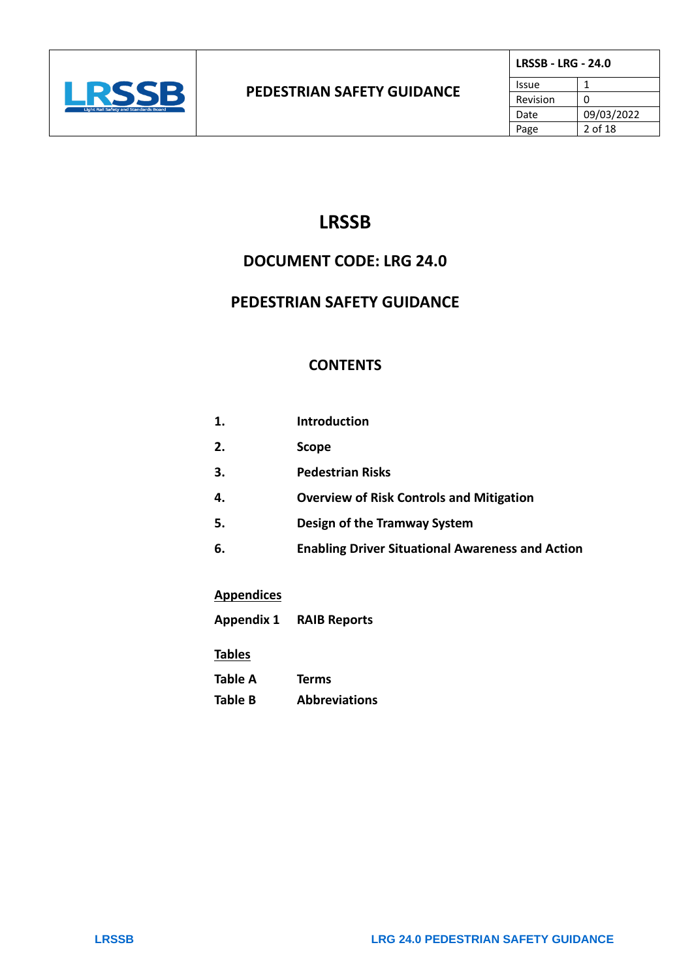

# **LRSSB**

# **DOCUMENT CODE: LRG 24.0**

# **PEDESTRIAN SAFETY GUIDANCE**

# **CONTENTS**

| 1. | <b>Introduction</b>                                     |
|----|---------------------------------------------------------|
| 2. | <b>Scope</b>                                            |
| 3. | <b>Pedestrian Risks</b>                                 |
| 4. | <b>Overview of Risk Controls and Mitigation</b>         |
| 5. | Design of the Tramway System                            |
| 6. | <b>Enabling Driver Situational Awareness and Action</b> |
|    |                                                         |

# **Appendices**

**Appendix 1 RAIB Reports**

**Tables** 

| Table A | <b>Terms</b>         |
|---------|----------------------|
| Table B | <b>Abbreviations</b> |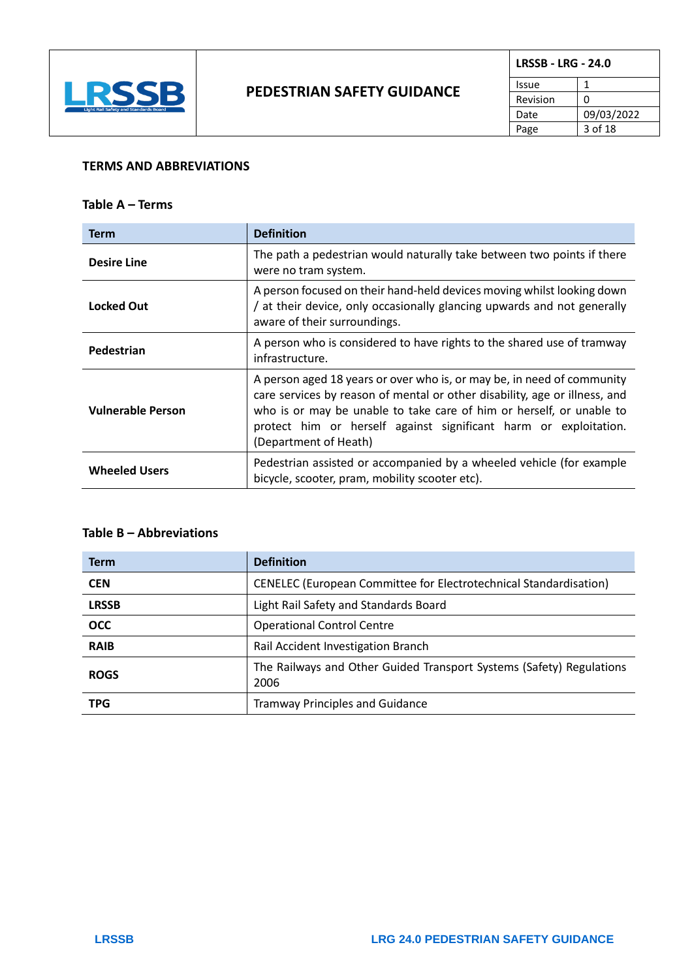

| <b>LRSSB - LRG - 24.0</b> |            |
|---------------------------|------------|
| Issue                     |            |
| Revision                  | O          |
| Date                      | 09/03/2022 |
| Page                      | 3 of 18    |

### **TERMS AND ABBREVIATIONS**

#### **Table A – Terms**

| <b>Term</b>              | <b>Definition</b>                                                                                                                                                                                                                                                                                                         |  |
|--------------------------|---------------------------------------------------------------------------------------------------------------------------------------------------------------------------------------------------------------------------------------------------------------------------------------------------------------------------|--|
| <b>Desire Line</b>       | The path a pedestrian would naturally take between two points if there<br>were no tram system.                                                                                                                                                                                                                            |  |
| <b>Locked Out</b>        | A person focused on their hand-held devices moving whilst looking down<br>/ at their device, only occasionally glancing upwards and not generally<br>aware of their surroundings.                                                                                                                                         |  |
| Pedestrian               | A person who is considered to have rights to the shared use of tramway<br>infrastructure.                                                                                                                                                                                                                                 |  |
| <b>Vulnerable Person</b> | A person aged 18 years or over who is, or may be, in need of community<br>care services by reason of mental or other disability, age or illness, and<br>who is or may be unable to take care of him or herself, or unable to<br>protect him or herself against significant harm or exploitation.<br>(Department of Heath) |  |
| <b>Wheeled Users</b>     | Pedestrian assisted or accompanied by a wheeled vehicle (for example<br>bicycle, scooter, pram, mobility scooter etc).                                                                                                                                                                                                    |  |

### **Table B – Abbreviations**

| <b>Term</b>  | <b>Definition</b>                                                            |
|--------------|------------------------------------------------------------------------------|
| <b>CEN</b>   | CENELEC (European Committee for Electrotechnical Standardisation)            |
| <b>LRSSB</b> | Light Rail Safety and Standards Board                                        |
| <b>OCC</b>   | <b>Operational Control Centre</b>                                            |
| <b>RAIB</b>  | Rail Accident Investigation Branch                                           |
| <b>ROGS</b>  | The Railways and Other Guided Transport Systems (Safety) Regulations<br>2006 |
| <b>TPG</b>   | <b>Tramway Principles and Guidance</b>                                       |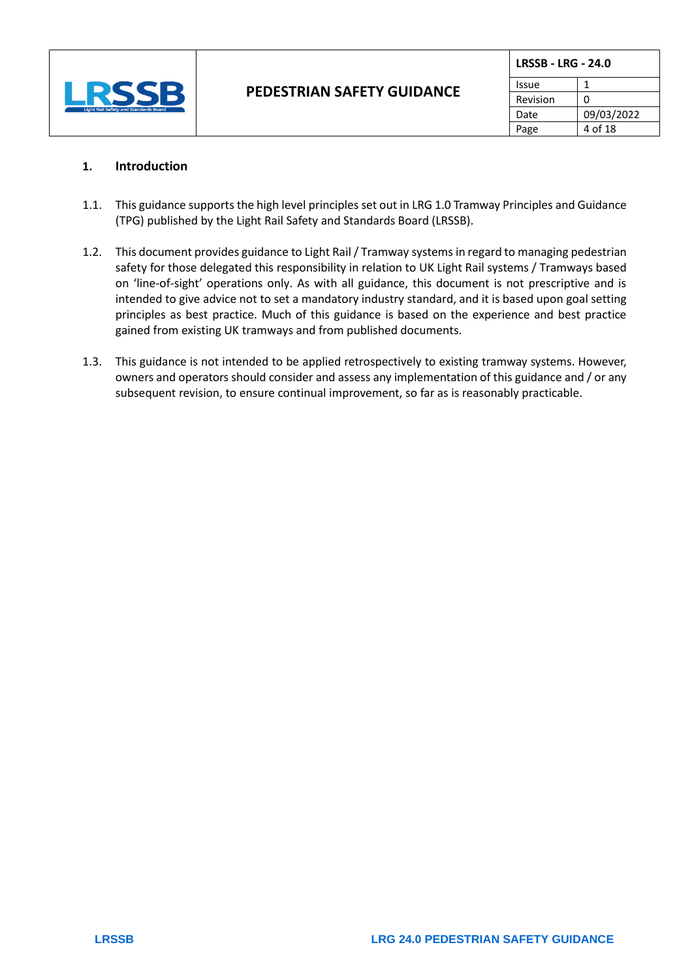

| <b>LRSSB - LRG - 24.0</b> |            |  |
|---------------------------|------------|--|
| Issue                     | 1          |  |
| Revision                  | ი          |  |
| Date                      | 09/03/2022 |  |
| Page                      | 4 of 18    |  |

### **1. Introduction**

- 1.1. This guidance supports the high level principles set out in LRG 1.0 Tramway Principles and Guidance (TPG) published by the Light Rail Safety and Standards Board (LRSSB).
- 1.2. This document provides guidance to Light Rail / Tramway systems in regard to managing pedestrian safety for those delegated this responsibility in relation to UK Light Rail systems / Tramways based on 'line-of-sight' operations only. As with all guidance, this document is not prescriptive and is intended to give advice not to set a mandatory industry standard, and it is based upon goal setting principles as best practice. Much of this guidance is based on the experience and best practice gained from existing UK tramways and from published documents.
- 1.3. This guidance is not intended to be applied retrospectively to existing tramway systems. However, owners and operators should consider and assess any implementation of this guidance and / or any subsequent revision, to ensure continual improvement, so far as is reasonably practicable.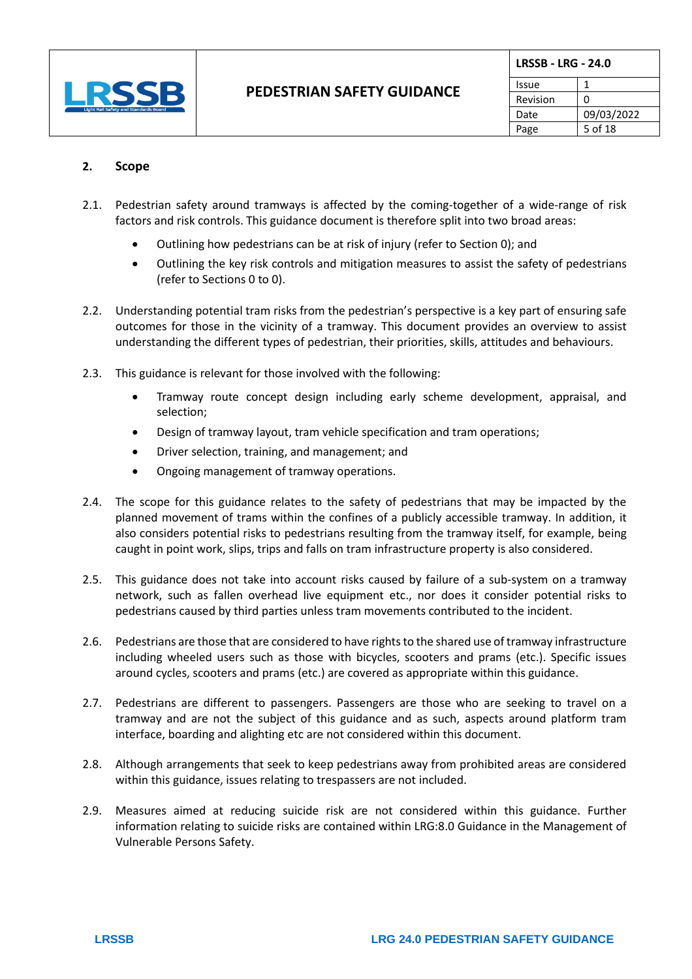

| <b>LRSSB - LRG - 24.0</b> |            |
|---------------------------|------------|
| Issue                     |            |
| Revision                  | O          |
| Date                      | 09/03/2022 |
| Page                      | 5 of 18    |

### **2. Scope**

- 2.1. Pedestrian safety around tramways is affected by the coming-together of a wide-range of risk factors and risk controls. This guidance document is therefore split into two broad areas:
	- Outlining how pedestrians can be at risk of injury (refer to Sectio[n 0\)](#page-5-0); and
	- Outlining the key risk controls and mitigation measures to assist the safety of pedestrians (refer to Section[s 0](#page-8-0) t[o 0\)](#page-16-0).
- 2.2. Understanding potential tram risks from the pedestrian's perspective is a key part of ensuring safe outcomes for those in the vicinity of a tramway. This document provides an overview to assist understanding the different types of pedestrian, their priorities, skills, attitudes and behaviours.
- 2.3. This guidance is relevant for those involved with the following:
	- Tramway route concept design including early scheme development, appraisal, and selection;
	- Design of tramway layout, tram vehicle specification and tram operations;
	- Driver selection, training, and management; and
	- Ongoing management of tramway operations.
- 2.4. The scope for this guidance relates to the safety of pedestrians that may be impacted by the planned movement of trams within the confines of a publicly accessible tramway. In addition, it also considers potential risks to pedestrians resulting from the tramway itself, for example, being caught in point work, slips, trips and falls on tram infrastructure property is also considered.
- 2.5. This guidance does not take into account risks caused by failure of a sub-system on a tramway network, such as fallen overhead live equipment etc., nor does it consider potential risks to pedestrians caused by third parties unless tram movements contributed to the incident.
- 2.6. Pedestrians are those that are considered to have rights to the shared use of tramway infrastructure including wheeled users such as those with bicycles, scooters and prams (etc.). Specific issues around cycles, scooters and prams (etc.) are covered as appropriate within this guidance.
- 2.7. Pedestrians are different to passengers. Passengers are those who are seeking to travel on a tramway and are not the subject of this guidance and as such, aspects around platform tram interface, boarding and alighting etc are not considered within this document.
- 2.8. Although arrangements that seek to keep pedestrians away from prohibited areas are considered within this guidance, issues relating to trespassers are not included.
- <span id="page-5-0"></span>2.9. Measures aimed at reducing suicide risk are not considered within this guidance. Further information relating to suicide risks are contained within LRG:8.0 Guidance in the Management of Vulnerable Persons Safety.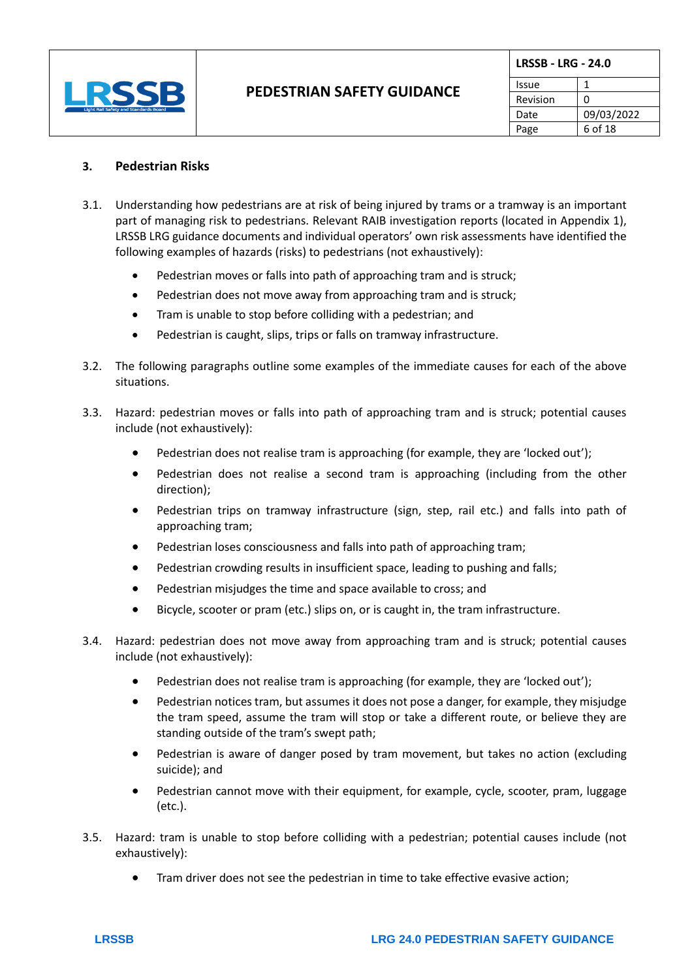

| <b>LRSSB - LRG - 24.0</b> |            |
|---------------------------|------------|
| Issue                     |            |
| Revision                  | O          |
| Date                      | 09/03/2022 |
| Page                      | 6 of 18    |

### **3. Pedestrian Risks**

- 3.1. Understanding how pedestrians are at risk of being injured by trams or a tramway is an important part of managing risk to pedestrians. Relevant RAIB investigation reports (located in Appendix 1), LRSSB LRG guidance documents and individual operators' own risk assessments have identified the following examples of hazards (risks) to pedestrians (not exhaustively):
	- Pedestrian moves or falls into path of approaching tram and is struck;
	- Pedestrian does not move away from approaching tram and is struck;
	- Tram is unable to stop before colliding with a pedestrian; and
	- Pedestrian is caught, slips, trips or falls on tramway infrastructure.
- 3.2. The following paragraphs outline some examples of the immediate causes for each of the above situations.
- 3.3. Hazard: pedestrian moves or falls into path of approaching tram and is struck; potential causes include (not exhaustively):
	- Pedestrian does not realise tram is approaching (for example, they are 'locked out');
	- Pedestrian does not realise a second tram is approaching (including from the other direction);
	- Pedestrian trips on tramway infrastructure (sign, step, rail etc.) and falls into path of approaching tram;
	- Pedestrian loses consciousness and falls into path of approaching tram;
	- Pedestrian crowding results in insufficient space, leading to pushing and falls;
	- Pedestrian misjudges the time and space available to cross; and
	- Bicycle, scooter or pram (etc.) slips on, or is caught in, the tram infrastructure.
- 3.4. Hazard: pedestrian does not move away from approaching tram and is struck; potential causes include (not exhaustively):
	- Pedestrian does not realise tram is approaching (for example, they are 'locked out');
	- Pedestrian notices tram, but assumes it does not pose a danger, for example, they misjudge the tram speed, assume the tram will stop or take a different route, or believe they are standing outside of the tram's swept path;
	- Pedestrian is aware of danger posed by tram movement, but takes no action (excluding suicide); and
	- Pedestrian cannot move with their equipment, for example, cycle, scooter, pram, luggage (etc.).
- 3.5. Hazard: tram is unable to stop before colliding with a pedestrian; potential causes include (not exhaustively):
	- Tram driver does not see the pedestrian in time to take effective evasive action;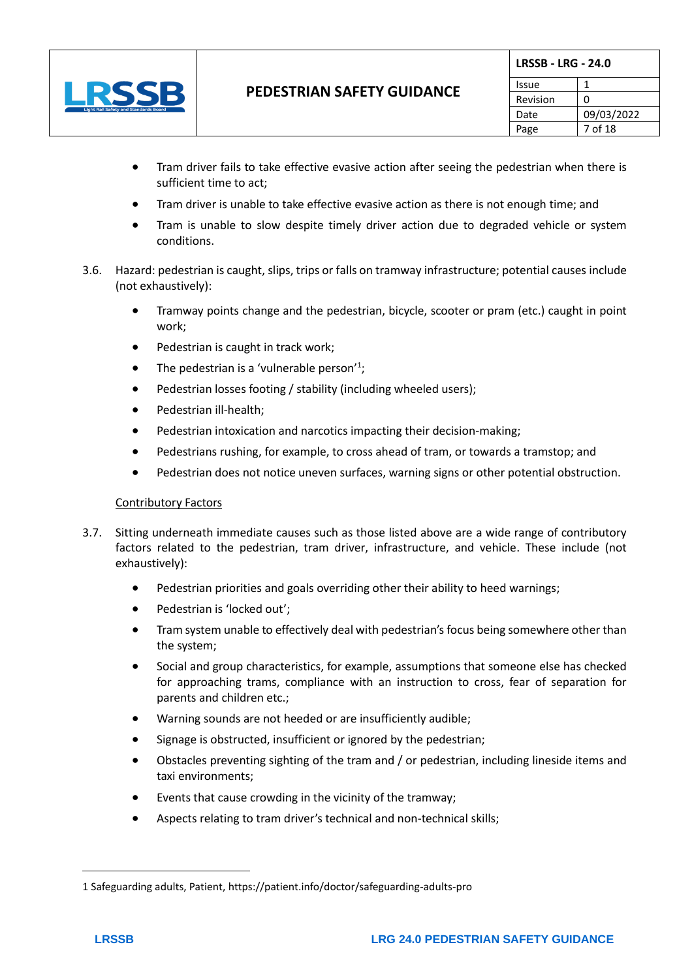

| <b>LRSSB - LRG - 24.0</b> |            |
|---------------------------|------------|
| Issue                     | 1          |
| Revision                  | ი          |
| Date                      | 09/03/2022 |
| Page                      | 7 of 18    |

- Tram driver fails to take effective evasive action after seeing the pedestrian when there is sufficient time to act;
- Tram driver is unable to take effective evasive action as there is not enough time; and
- Tram is unable to slow despite timely driver action due to degraded vehicle or system conditions.
- 3.6. Hazard: pedestrian is caught, slips, trips or falls on tramway infrastructure; potential causes include (not exhaustively):
	- Tramway points change and the pedestrian, bicycle, scooter or pram (etc.) caught in point work;
	- Pedestrian is caught in track work;
	- $\bullet$  The pedestrian is a 'vulnerable person'<sup>1</sup>;
	- Pedestrian losses footing / stability (including wheeled users);
	- Pedestrian ill-health;
	- Pedestrian intoxication and narcotics impacting their decision-making;
	- Pedestrians rushing, for example, to cross ahead of tram, or towards a tramstop; and
	- Pedestrian does not notice uneven surfaces, warning signs or other potential obstruction.

### Contributory Factors

- 3.7. Sitting underneath immediate causes such as those listed above are a wide range of contributory factors related to the pedestrian, tram driver, infrastructure, and vehicle. These include (not exhaustively):
	- Pedestrian priorities and goals overriding other their ability to heed warnings;
	- Pedestrian is 'locked out';
	- Tram system unable to effectively deal with pedestrian's focus being somewhere other than the system;
	- Social and group characteristics, for example, assumptions that someone else has checked for approaching trams, compliance with an instruction to cross, fear of separation for parents and children etc.;
	- Warning sounds are not heeded or are insufficiently audible;
	- Signage is obstructed, insufficient or ignored by the pedestrian;
	- Obstacles preventing sighting of the tram and / or pedestrian, including lineside items and taxi environments;
	- Events that cause crowding in the vicinity of the tramway;
	- Aspects relating to tram driver's technical and non-technical skills;

<sup>1</sup> Safeguarding adults, Patient,<https://patient.info/doctor/safeguarding-adults-pro>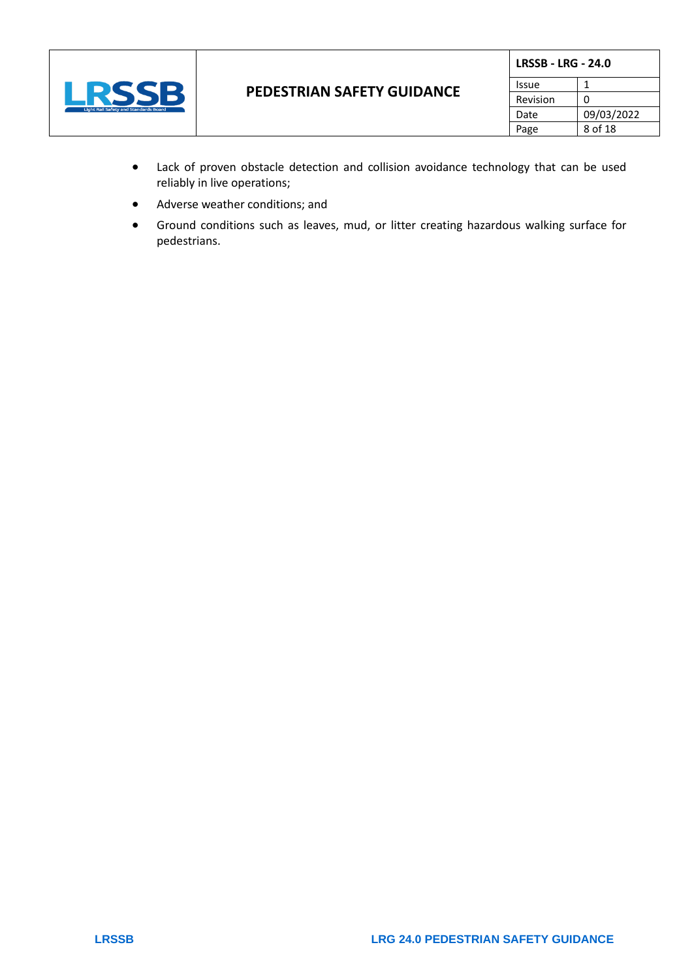

| <b>LRSSB - LRG - 24.0</b> |            |
|---------------------------|------------|
| Issue                     |            |
| Revision                  | O          |
| Date                      | 09/03/2022 |
| Page                      | 8 of 18    |

- Lack of proven obstacle detection and collision avoidance technology that can be used reliably in live operations;
- Adverse weather conditions; and
- <span id="page-8-0"></span>• Ground conditions such as leaves, mud, or litter creating hazardous walking surface for pedestrians.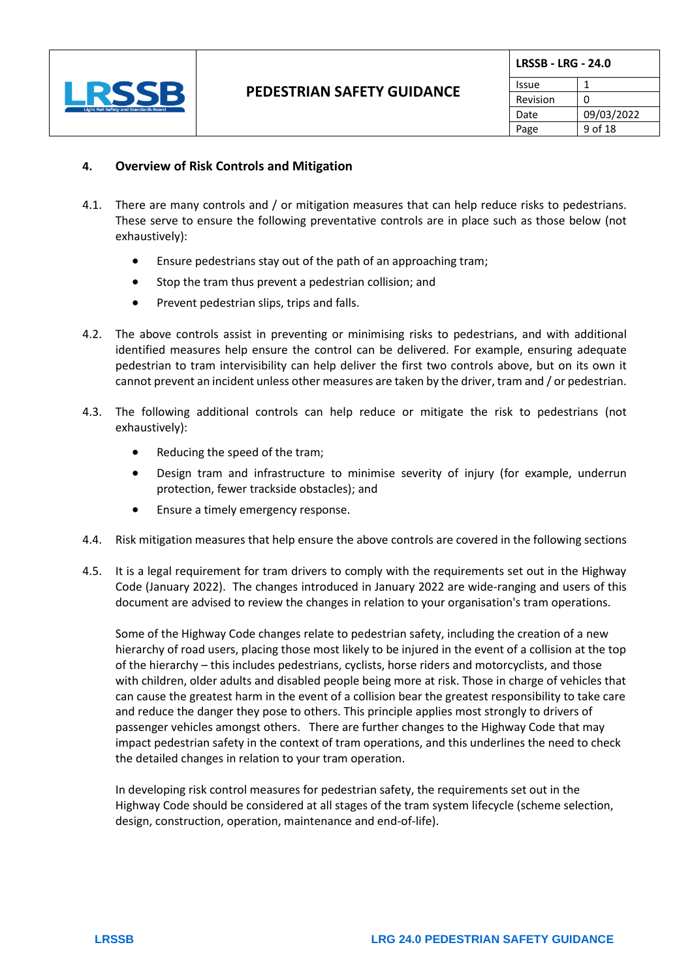

| <b>LRSSB - LRG - 24.0</b> |            |
|---------------------------|------------|
| Issue                     |            |
| Revision                  | O          |
| Date                      | 09/03/2022 |
| Page                      | 9 of 18    |

### **4. Overview of Risk Controls and Mitigation**

- 4.1. There are many controls and / or mitigation measures that can help reduce risks to pedestrians. These serve to ensure the following preventative controls are in place such as those below (not exhaustively):
	- Ensure pedestrians stay out of the path of an approaching tram;
	- Stop the tram thus prevent a pedestrian collision; and
	- Prevent pedestrian slips, trips and falls.
- 4.2. The above controls assist in preventing or minimising risks to pedestrians, and with additional identified measures help ensure the control can be delivered. For example, ensuring adequate pedestrian to tram intervisibility can help deliver the first two controls above, but on its own it cannot prevent an incident unless other measures are taken by the driver, tram and / or pedestrian.
- 4.3. The following additional controls can help reduce or mitigate the risk to pedestrians (not exhaustively):
	- Reducing the speed of the tram;
	- Design tram and infrastructure to minimise severity of injury (for example, underrun protection, fewer trackside obstacles); and
	- Ensure a timely emergency response.
- 4.4. Risk mitigation measures that help ensure the above controls are covered in the following sections
- 4.5. It is a legal requirement for tram drivers to comply with the requirements set out in the Highway Code (January 2022). The changes introduced in January 2022 are wide-ranging and users of this document are advised to review the changes in relation to your organisation's tram operations.

Some of the Highway Code changes relate to pedestrian safety, including the creation of a new hierarchy of road users, placing those most likely to be injured in the event of a collision at the top of the hierarchy – this includes pedestrians, cyclists, horse riders and motorcyclists, and those with children, older adults and disabled people being more at risk. Those in charge of vehicles that can cause the greatest harm in the event of a collision bear the greatest responsibility to take care and reduce the danger they pose to others. This principle applies most strongly to drivers of passenger vehicles amongst others. There are further changes to the Highway Code that may impact pedestrian safety in the context of tram operations, and this underlines the need to check the detailed changes in relation to your tram operation.

In developing risk control measures for pedestrian safety, the requirements set out in the Highway Code should be considered at all stages of the tram system lifecycle (scheme selection, design, construction, operation, maintenance and end-of-life).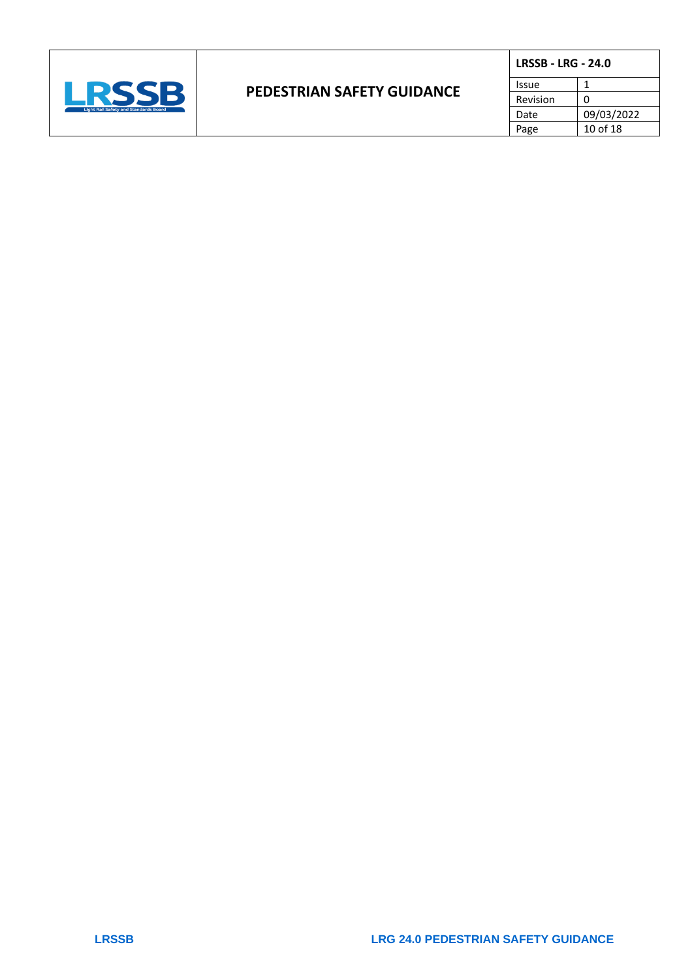

| <b>LRSSB - LRG - 24.0</b> |            |
|---------------------------|------------|
| Issue                     |            |
| Revision                  | O          |
| Date                      | 09/03/2022 |
| Page                      | 10 of 18   |

┑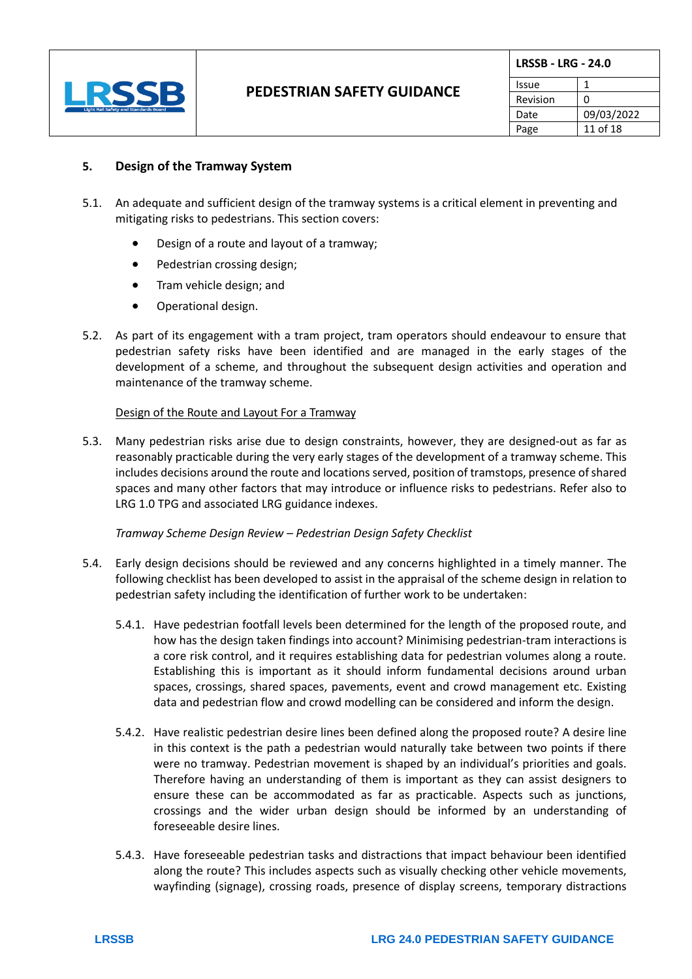

| <b>LRSSB - LRG - 24.0</b> |            |
|---------------------------|------------|
| Issue                     |            |
| Revision                  | O          |
| Date                      | 09/03/2022 |
| Page                      | 11 of 18   |

### **5. Design of the Tramway System**

- 5.1. An adequate and sufficient design of the tramway systems is a critical element in preventing and mitigating risks to pedestrians. This section covers:
	- Design of a route and layout of a tramway;
	- Pedestrian crossing design;
	- Tram vehicle design; and
	- Operational design.
- 5.2. As part of its engagement with a tram project, tram operators should endeavour to ensure that pedestrian safety risks have been identified and are managed in the early stages of the development of a scheme, and throughout the subsequent design activities and operation and maintenance of the tramway scheme.

#### Design of the Route and Layout For a Tramway

5.3. Many pedestrian risks arise due to design constraints, however, they are designed-out as far as reasonably practicable during the very early stages of the development of a tramway scheme. This includes decisions around the route and locations served, position of tramstops, presence of shared spaces and many other factors that may introduce or influence risks to pedestrians. Refer also to LRG 1.0 TPG and associated LRG guidance indexes.

#### *Tramway Scheme Design Review – Pedestrian Design Safety Checklist*

- 5.4. Early design decisions should be reviewed and any concerns highlighted in a timely manner. The following checklist has been developed to assist in the appraisal of the scheme design in relation to pedestrian safety including the identification of further work to be undertaken:
	- 5.4.1. Have pedestrian footfall levels been determined for the length of the proposed route, and how has the design taken findings into account? Minimising pedestrian-tram interactions is a core risk control, and it requires establishing data for pedestrian volumes along a route. Establishing this is important as it should inform fundamental decisions around urban spaces, crossings, shared spaces, pavements, event and crowd management etc. Existing data and pedestrian flow and crowd modelling can be considered and inform the design.
	- 5.4.2. Have realistic pedestrian desire lines been defined along the proposed route? A desire line in this context is the path a pedestrian would naturally take between two points if there were no tramway. Pedestrian movement is shaped by an individual's priorities and goals. Therefore having an understanding of them is important as they can assist designers to ensure these can be accommodated as far as practicable. Aspects such as junctions, crossings and the wider urban design should be informed by an understanding of foreseeable desire lines.
	- 5.4.3. Have foreseeable pedestrian tasks and distractions that impact behaviour been identified along the route? This includes aspects such as visually checking other vehicle movements, wayfinding (signage), crossing roads, presence of display screens, temporary distractions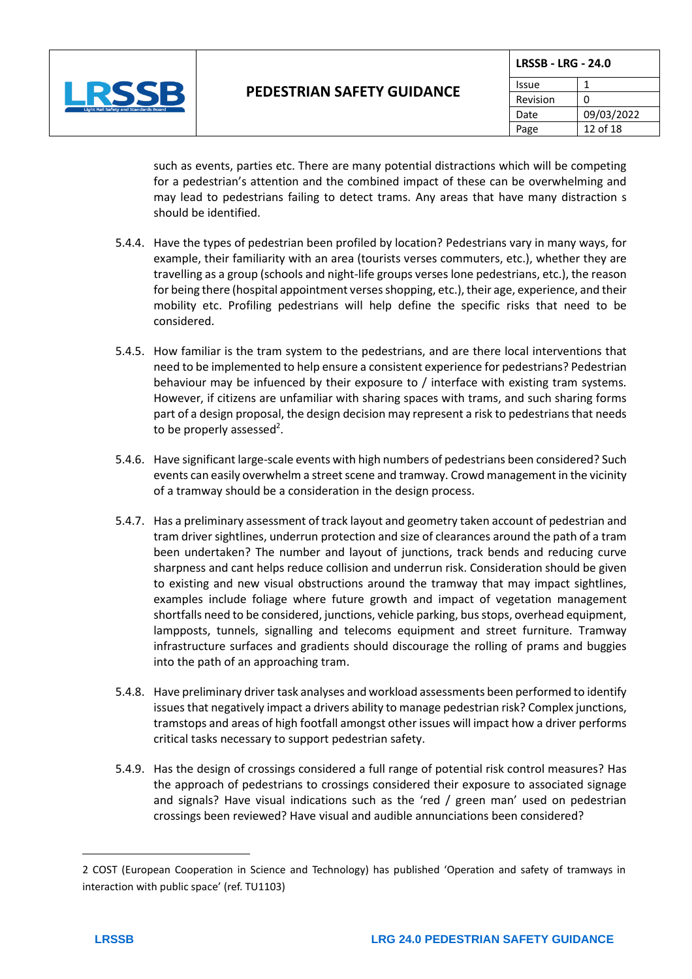

| <b>LRSSB - LRG - 24.0</b> |            |
|---------------------------|------------|
| Issue                     |            |
| Revision                  | ი          |
| Date                      | 09/03/2022 |
| Page                      | 12 of 18   |

such as events, parties etc. There are many potential distractions which will be competing for a pedestrian's attention and the combined impact of these can be overwhelming and may lead to pedestrians failing to detect trams. Any areas that have many distraction s should be identified.

- 5.4.4. Have the types of pedestrian been profiled by location? Pedestrians vary in many ways, for example, their familiarity with an area (tourists verses commuters, etc.), whether they are travelling as a group (schools and night-life groups verses lone pedestrians, etc.), the reason for being there (hospital appointment verses shopping, etc.), their age, experience, and their mobility etc. Profiling pedestrians will help define the specific risks that need to be considered.
- 5.4.5. How familiar is the tram system to the pedestrians, and are there local interventions that need to be implemented to help ensure a consistent experience for pedestrians? Pedestrian behaviour may be infuenced by their exposure to / interface with existing tram systems. However, if citizens are unfamiliar with sharing spaces with trams, and such sharing forms part of a design proposal, the design decision may represent a risk to pedestrians that needs to be properly assessed<sup>2</sup>.
- 5.4.6. Have significant large-scale events with high numbers of pedestrians been considered? Such events can easily overwhelm a street scene and tramway. Crowd management in the vicinity of a tramway should be a consideration in the design process.
- 5.4.7. Has a preliminary assessment of track layout and geometry taken account of pedestrian and tram driver sightlines, underrun protection and size of clearances around the path of a tram been undertaken? The number and layout of junctions, track bends and reducing curve sharpness and cant helps reduce collision and underrun risk. Consideration should be given to existing and new visual obstructions around the tramway that may impact sightlines, examples include foliage where future growth and impact of vegetation management shortfalls need to be considered, junctions, vehicle parking, bus stops, overhead equipment, lampposts, tunnels, signalling and telecoms equipment and street furniture. Tramway infrastructure surfaces and gradients should discourage the rolling of prams and buggies into the path of an approaching tram.
- 5.4.8. Have preliminary driver task analyses and workload assessments been performed to identify issues that negatively impact a drivers ability to manage pedestrian risk? Complex junctions, tramstops and areas of high footfall amongst other issues will impact how a driver performs critical tasks necessary to support pedestrian safety.
- 5.4.9. Has the design of crossings considered a full range of potential risk control measures? Has the approach of pedestrians to crossings considered their exposure to associated signage and signals? Have visual indications such as the 'red / green man' used on pedestrian crossings been reviewed? Have visual and audible annunciations been considered?

<sup>2</sup> COST (European Cooperation in Science and Technology) has published 'Operation and safety of tramways in interaction with public space' (ref. TU1103)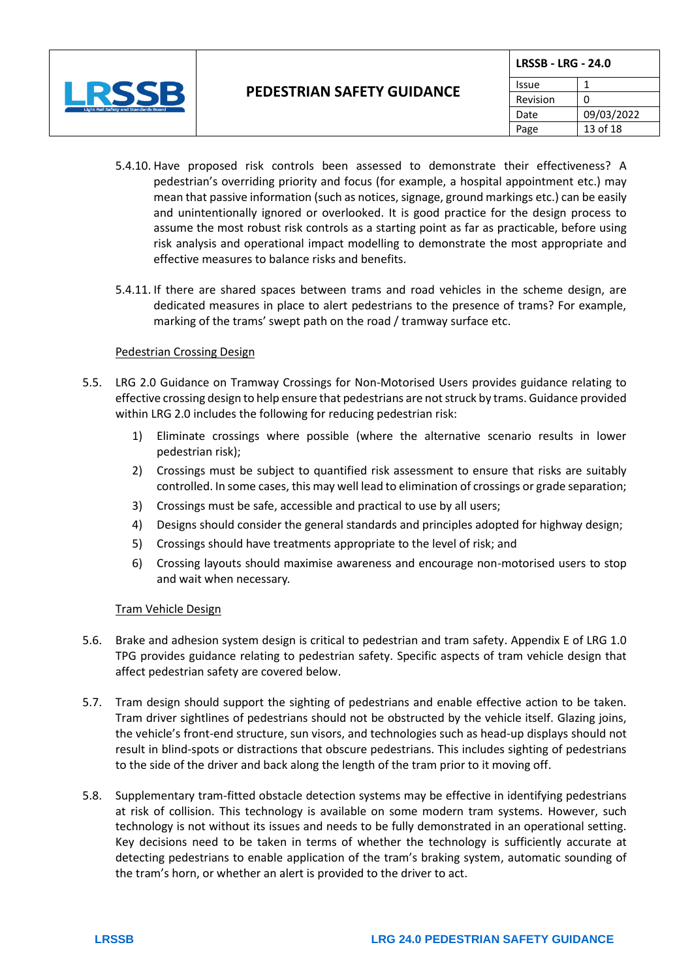

| <b>LRSSB - LRG - 24.0</b> |            |
|---------------------------|------------|
| Issue                     |            |
| Revision                  | ი          |
| Date                      | 09/03/2022 |
| Page                      | 13 of 18   |

- 5.4.10. Have proposed risk controls been assessed to demonstrate their effectiveness? A pedestrian's overriding priority and focus (for example, a hospital appointment etc.) may mean that passive information (such as notices, signage, ground markings etc.) can be easily and unintentionally ignored or overlooked. It is good practice for the design process to assume the most robust risk controls as a starting point as far as practicable, before using risk analysis and operational impact modelling to demonstrate the most appropriate and effective measures to balance risks and benefits.
- 5.4.11. If there are shared spaces between trams and road vehicles in the scheme design, are dedicated measures in place to alert pedestrians to the presence of trams? For example, marking of the trams' swept path on the road / tramway surface etc.

### Pedestrian Crossing Design

- 5.5. LRG 2.0 Guidance on Tramway Crossings for Non-Motorised Users provides guidance relating to effective crossing design to help ensure that pedestrians are not struck by trams. Guidance provided within LRG 2.0 includes the following for reducing pedestrian risk:
	- 1) Eliminate crossings where possible (where the alternative scenario results in lower pedestrian risk);
	- 2) Crossings must be subject to quantified risk assessment to ensure that risks are suitably controlled. In some cases, this may well lead to elimination of crossings or grade separation;
	- 3) Crossings must be safe, accessible and practical to use by all users;
	- 4) Designs should consider the general standards and principles adopted for highway design;
	- 5) Crossings should have treatments appropriate to the level of risk; and
	- 6) Crossing layouts should maximise awareness and encourage non-motorised users to stop and wait when necessary.

### Tram Vehicle Design

- 5.6. Brake and adhesion system design is critical to pedestrian and tram safety. Appendix E of LRG 1.0 TPG provides guidance relating to pedestrian safety. Specific aspects of tram vehicle design that affect pedestrian safety are covered below.
- 5.7. Tram design should support the sighting of pedestrians and enable effective action to be taken. Tram driver sightlines of pedestrians should not be obstructed by the vehicle itself. Glazing joins, the vehicle's front-end structure, sun visors, and technologies such as head-up displays should not result in blind-spots or distractions that obscure pedestrians. This includes sighting of pedestrians to the side of the driver and back along the length of the tram prior to it moving off.
- 5.8. Supplementary tram-fitted obstacle detection systems may be effective in identifying pedestrians at risk of collision. This technology is available on some modern tram systems. However, such technology is not without its issues and needs to be fully demonstrated in an operational setting. Key decisions need to be taken in terms of whether the technology is sufficiently accurate at detecting pedestrians to enable application of the tram's braking system, automatic sounding of the tram's horn, or whether an alert is provided to the driver to act.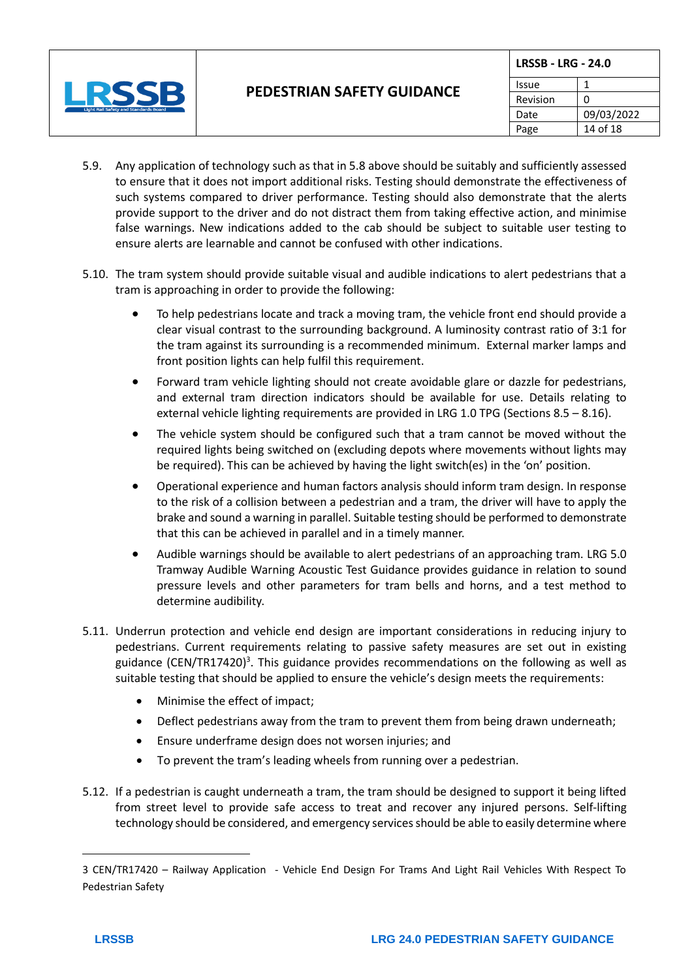

| <b>LRSSB - LRG - 24.0</b> |            |
|---------------------------|------------|
| Issue                     | 1          |
| Revision                  | O          |
| Date                      | 09/03/2022 |
| Page                      | 14 of 18   |

- 5.9. Any application of technology such as that in 5.8 above should be suitably and sufficiently assessed to ensure that it does not import additional risks. Testing should demonstrate the effectiveness of such systems compared to driver performance. Testing should also demonstrate that the alerts provide support to the driver and do not distract them from taking effective action, and minimise false warnings. New indications added to the cab should be subject to suitable user testing to ensure alerts are learnable and cannot be confused with other indications.
- 5.10. The tram system should provide suitable visual and audible indications to alert pedestrians that a tram is approaching in order to provide the following:
	- To help pedestrians locate and track a moving tram, the vehicle front end should provide a clear visual contrast to the surrounding background. A luminosity contrast ratio of 3:1 for the tram against its surrounding is a recommended minimum. External marker lamps and front position lights can help fulfil this requirement.
	- Forward tram vehicle lighting should not create avoidable glare or dazzle for pedestrians, and external tram direction indicators should be available for use. Details relating to external vehicle lighting requirements are provided in LRG 1.0 TPG (Sections 8.5 – 8.16).
	- The vehicle system should be configured such that a tram cannot be moved without the required lights being switched on (excluding depots where movements without lights may be required). This can be achieved by having the light switch(es) in the 'on' position.
	- Operational experience and human factors analysis should inform tram design. In response to the risk of a collision between a pedestrian and a tram, the driver will have to apply the brake and sound a warning in parallel. Suitable testing should be performed to demonstrate that this can be achieved in parallel and in a timely manner.
	- Audible warnings should be available to alert pedestrians of an approaching tram. LRG 5.0 Tramway Audible Warning Acoustic Test Guidance provides guidance in relation to sound pressure levels and other parameters for tram bells and horns, and a test method to determine audibility.
- 5.11. Underrun protection and vehicle end design are important considerations in reducing injury to pedestrians. Current requirements relating to passive safety measures are set out in existing guidance (CEN/TR17420)<sup>3</sup>. This guidance provides recommendations on the following as well as suitable testing that should be applied to ensure the vehicle's design meets the requirements:
	- Minimise the effect of impact;
	- Deflect pedestrians away from the tram to prevent them from being drawn underneath;
	- Ensure underframe design does not worsen injuries; and
	- To prevent the tram's leading wheels from running over a pedestrian.
- 5.12. If a pedestrian is caught underneath a tram, the tram should be designed to support it being lifted from street level to provide safe access to treat and recover any injured persons. Self-lifting technology should be considered, and emergency services should be able to easily determine where

<sup>3</sup> CEN/TR17420 – Railway Application - Vehicle End Design For Trams And Light Rail Vehicles With Respect To Pedestrian Safety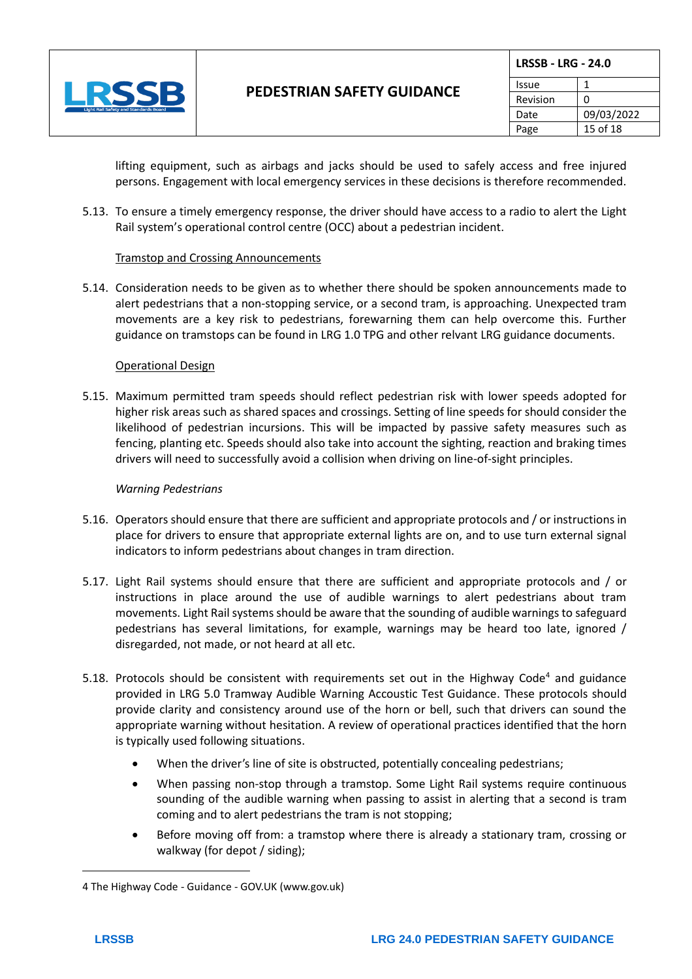

| <b>LRSSB - LRG - 24.0</b> |            |
|---------------------------|------------|
| Issue                     | 1          |
| Revision                  | O          |
| Date                      | 09/03/2022 |
| Page                      | 15 of 18   |

lifting equipment, such as airbags and jacks should be used to safely access and free injured persons. Engagement with local emergency services in these decisions is therefore recommended.

5.13. To ensure a timely emergency response, the driver should have access to a radio to alert the Light Rail system's operational control centre (OCC) about a pedestrian incident.

### Tramstop and Crossing Announcements

5.14. Consideration needs to be given as to whether there should be spoken announcements made to alert pedestrians that a non-stopping service, or a second tram, is approaching. Unexpected tram movements are a key risk to pedestrians, forewarning them can help overcome this. Further guidance on tramstops can be found in LRG 1.0 TPG and other relvant LRG guidance documents.

#### <span id="page-15-1"></span>Operational Design

5.15. Maximum permitted tram speeds should reflect pedestrian risk with lower speeds adopted for higher risk areas such as shared spaces and crossings. Setting of line speeds for should consider the likelihood of pedestrian incursions. This will be impacted by passive safety measures such as fencing, planting etc. Speeds should also take into account the sighting, reaction and braking times drivers will need to successfully avoid a collision when driving on line-of-sight principles.

#### *Warning Pedestrians*

- <span id="page-15-0"></span>5.16. Operators should ensure that there are sufficient and appropriate protocols and / or instructions in place for drivers to ensure that appropriate external lights are on, and to use turn external signal indicators to inform pedestrians about changes in tram direction.
- 5.17. Light Rail systems should ensure that there are sufficient and appropriate protocols and / or instructions in place around the use of audible warnings to alert pedestrians about tram movements. Light Rail systemsshould be aware that the sounding of audible warnings to safeguard pedestrians has several limitations, for example, warnings may be heard too late, ignored / disregarded, not made, or not heard at all etc.
- 5.18. Protocols should be consistent with requirements set out in the Highway Code<sup>4</sup> and guidance provided in LRG 5.0 Tramway Audible Warning Accoustic Test Guidance. These protocols should provide clarity and consistency around use of the horn or bell, such that drivers can sound the appropriate warning without hesitation. A review of operational practices identified that the horn is typically used following situations.
	- When the driver's line of site is obstructed, potentially concealing pedestrians;
	- When passing non-stop through a tramstop. Some Light Rail systems require continuous sounding of the audible warning when passing to assist in alerting that a second is tram coming and to alert pedestrians the tram is not stopping;
	- Before moving off from: a tramstop where there is already a stationary tram, crossing or walkway (for depot / siding);

<sup>4</sup> The Highway Code - Guidance - [GOV.UK \(www.gov.uk\)](https://www.gov.uk/guidance/the-highway-code)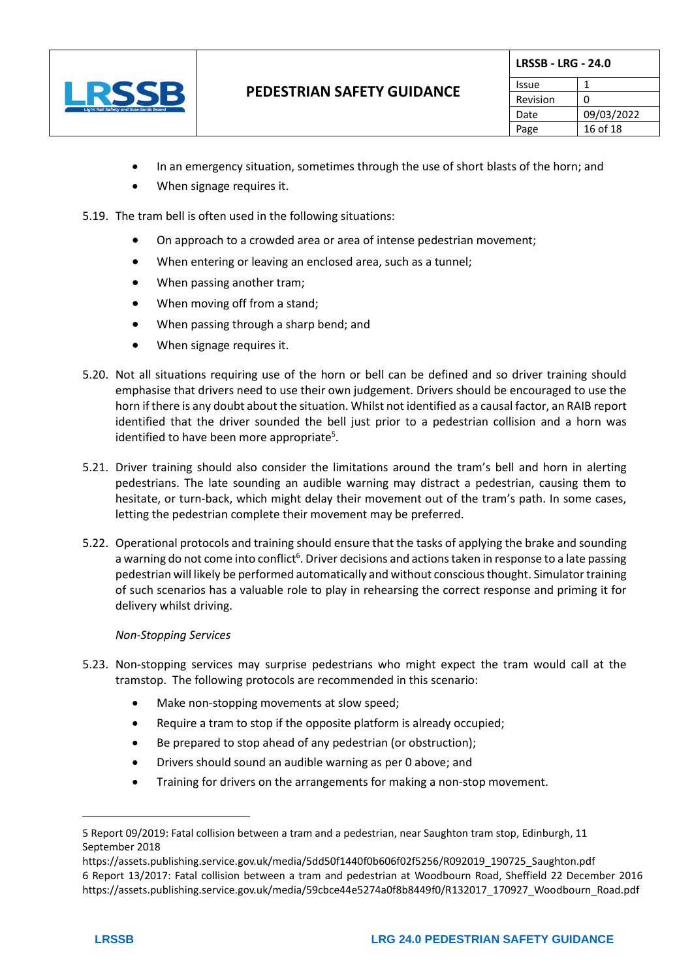

|  | <b>LRSSB - LRG - 24.0</b> |            |
|--|---------------------------|------------|
|  | Issue                     |            |
|  | Revision                  | O          |
|  | Date                      | 09/03/2022 |
|  | Page                      | 16 of 18   |

- In an emergency situation, sometimes through the use of short blasts of the horn; and
- When signage requires it.
- 5.19. The tram bell is often used in the following situations:
	- On approach to a crowded area or area of intense pedestrian movement;
	- When entering or leaving an enclosed area, such as a tunnel;
	- When passing another tram;
	- When moving off from a stand;
	- When passing through a sharp bend; and
	- When signage requires it.
- 5.20. Not all situations requiring use of the horn or bell can be defined and so driver training should emphasise that drivers need to use their own judgement. Drivers should be encouraged to use the horn if there is any doubt about the situation. Whilst not identified as a causal factor, an RAIB report identified that the driver sounded the bell just prior to a pedestrian collision and a horn was identified to have been more appropriate<sup>5</sup>.
- 5.21. Driver training should also consider the limitations around the tram's bell and horn in alerting pedestrians. The late sounding an audible warning may distract a pedestrian, causing them to hesitate, or turn-back, which might delay their movement out of the tram's path. In some cases, letting the pedestrian complete their movement may be preferred.
- 5.22. Operational protocols and training should ensure that the tasks of applying the brake and sounding a warning do not come into conflict<sup>6</sup>. Driver decisions and actions taken in response to a late passing pedestrian will likely be performed automatically and without conscious thought. Simulator training of such scenarios has a valuable role to play in rehearsing the correct response and priming it for delivery whilst driving.

#### *Non-Stopping Services*

- 5.23. Non-stopping services may surprise pedestrians who might expect the tram would call at the tramstop. The following protocols are recommended in this scenario:
	- Make non-stopping movements at slow speed;
	- Require a tram to stop if the opposite platform is already occupied;
	- Be prepared to stop ahead of any pedestrian (or obstruction);
	- Drivers should sound an audible warning as pe[r 0](#page-15-0) above; and
	- Training for drivers on the arrangements for making a non-stop movement.

<span id="page-16-0"></span><sup>5</sup> Report 09/2019: Fatal collision between a tram and a pedestrian, near Saughton tram stop, Edinburgh, 11 September 2018

[https://assets.publishing.service.gov.uk/media/5dd50f1440f0b606f02f5256/R092019\\_190725\\_Saughton.pdf](https://assets.publishing.service.gov.uk/media/5dd50f1440f0b606f02f5256/R092019_190725_Saughton.pdf) 6 Report 13/2017: Fatal collision between a tram and pedestrian at Woodbourn Road, Sheffield 22 December 2016 [https://assets.publishing.service.gov.uk/media/59cbce44e5274a0f8b8449f0/R132017\\_170927\\_Woodbourn\\_Road.pdf](https://assets.publishing.service.gov.uk/media/59cbce44e5274a0f8b8449f0/R132017_170927_Woodbourn_Road.pdf)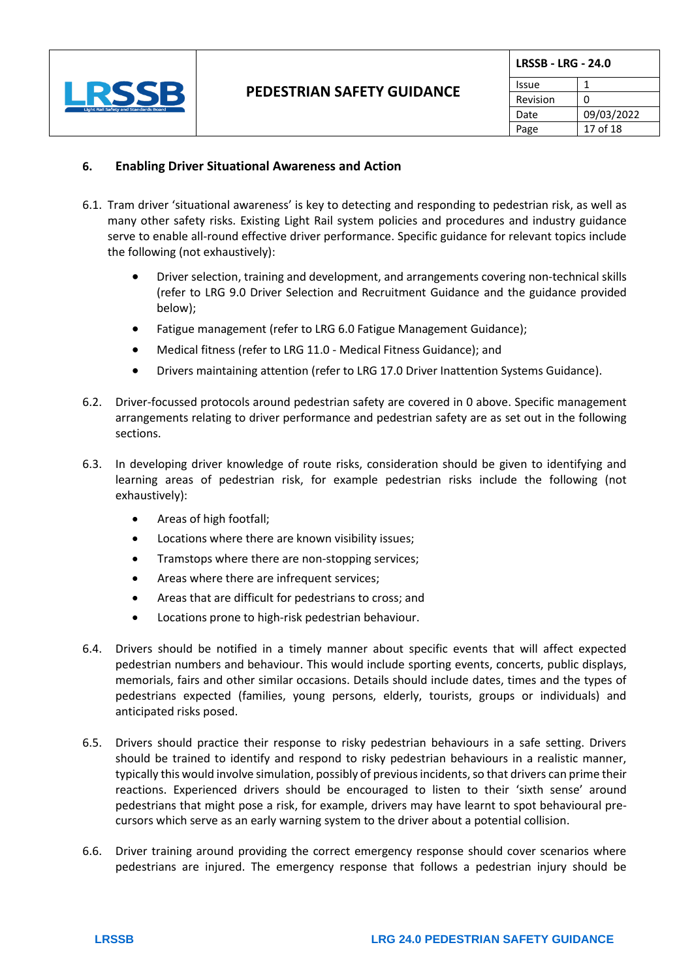

| <b>LRSSB - LRG - 24.0</b> |            |
|---------------------------|------------|
| Issue                     |            |
| Revision                  | ი          |
| Date                      | 09/03/2022 |
| Page                      | 17 of 18   |

### **6. Enabling Driver Situational Awareness and Action**

- 6.1. Tram driver 'situational awareness' is key to detecting and responding to pedestrian risk, as well as many other safety risks. Existing Light Rail system policies and procedures and industry guidance serve to enable all-round effective driver performance. Specific guidance for relevant topics include the following (not exhaustively):
	- Driver selection, training and development, and arrangements covering non-technical skills (refer to LRG 9.0 Driver Selection and Recruitment Guidance and the guidance provided below);
	- Fatigue management (refer to LRG 6.0 Fatigue Management Guidance);
	- Medical fitness (refer to LRG 11.0 Medical Fitness Guidance); and
	- Drivers maintaining attention (refer to LRG 17.0 Driver Inattention Systems Guidance).
- 6.2. Driver-focussed protocols around pedestrian safety are covered in [0](#page-15-1) above. Specific management arrangements relating to driver performance and pedestrian safety are as set out in the following sections.
- 6.3. In developing driver knowledge of route risks, consideration should be given to identifying and learning areas of pedestrian risk, for example pedestrian risks include the following (not exhaustively):
	- Areas of high footfall;
	- Locations where there are known visibility issues;
	- Tramstops where there are non-stopping services;
	- Areas where there are infrequent services;
	- Areas that are difficult for pedestrians to cross; and
	- Locations prone to high-risk pedestrian behaviour.
- 6.4. Drivers should be notified in a timely manner about specific events that will affect expected pedestrian numbers and behaviour. This would include sporting events, concerts, public displays, memorials, fairs and other similar occasions. Details should include dates, times and the types of pedestrians expected (families, young persons, elderly, tourists, groups or individuals) and anticipated risks posed.
- 6.5. Drivers should practice their response to risky pedestrian behaviours in a safe setting. Drivers should be trained to identify and respond to risky pedestrian behaviours in a realistic manner, typically this would involve simulation, possibly of previous incidents, so that drivers can prime their reactions. Experienced drivers should be encouraged to listen to their 'sixth sense' around pedestrians that might pose a risk, for example, drivers may have learnt to spot behavioural precursors which serve as an early warning system to the driver about a potential collision.
- 6.6. Driver training around providing the correct emergency response should cover scenarios where pedestrians are injured. The emergency response that follows a pedestrian injury should be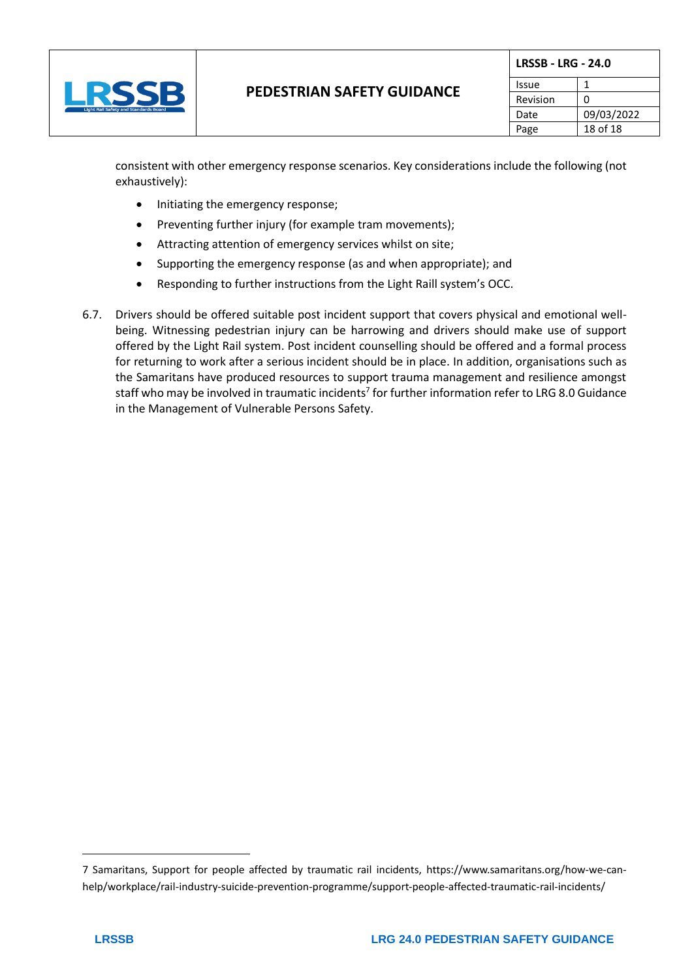

| <b>LRSSB - LRG - 24.0</b> |            |
|---------------------------|------------|
| Issue                     |            |
| Revision                  | O          |
| Date                      | 09/03/2022 |
| Page                      | 18 of 18   |

consistent with other emergency response scenarios. Key considerations include the following (not exhaustively):

- Initiating the emergency response;
- Preventing further injury (for example tram movements);
- Attracting attention of emergency services whilst on site;
- Supporting the emergency response (as and when appropriate); and
- Responding to further instructions from the Light Raill system's OCC.
- 6.7. Drivers should be offered suitable post incident support that covers physical and emotional wellbeing. Witnessing pedestrian injury can be harrowing and drivers should make use of support offered by the Light Rail system. Post incident counselling should be offered and a formal process for returning to work after a serious incident should be in place. In addition, organisations such as the Samaritans have produced resources to support trauma management and resilience amongst staff who may be involved in traumatic incidents<sup>7</sup> for further information refer to LRG 8.0 Guidance in the Management of Vulnerable Persons Safety.

<sup>7</sup> Samaritans, Support for people affected by traumatic rail incidents, [https://www.samaritans.org/how-we-can](https://www.samaritans.org/how-we-can-help/workplace/rail-industry-suicide-prevention-programme/support-people-affected-traumatic-rail-incidents/)[help/workplace/rail-industry-suicide-prevention-programme/support-people-affected-traumatic-rail-incidents/](https://www.samaritans.org/how-we-can-help/workplace/rail-industry-suicide-prevention-programme/support-people-affected-traumatic-rail-incidents/)